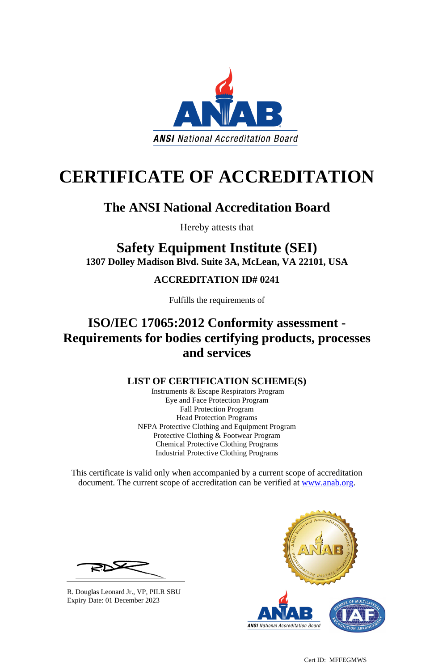Cert ID: MFFEGMWS



# **CERTIFICATE OF ACCREDITATION**

## **The ANSI National Accreditation Board**

Hereby attests that

## **Safety Equipment Institute (SEI) 1307 Dolley Madison Blvd. Suite 3A, McLean, VA 22101, USA**

#### **ACCREDITATION ID# 0241**

Fulfills the requirements of

## **ISO/IEC 17065:2012 Conformity assessment - Requirements for bodies certifying products, processes and services**

This certificate is valid only when accompanied by a current scope of accreditation document. The current scope of accreditation can be verified at [www.anab.org.](http://www.anab.org/)



#### **LIST OF CERTIFICATION SCHEME(S)**

Instruments & Escape Respirators Program Eye and Face Protection Program Fall Protection Program Head Protection Programs NFPA Protective Clothing and Equipment Program Protective Clothing & Footwear Program Chemical Protective Clothing Programs Industrial Protective Clothing Programs

R. Douglas Leonard Jr., VP, PILR SBU Expiry Date: 01 December 2023